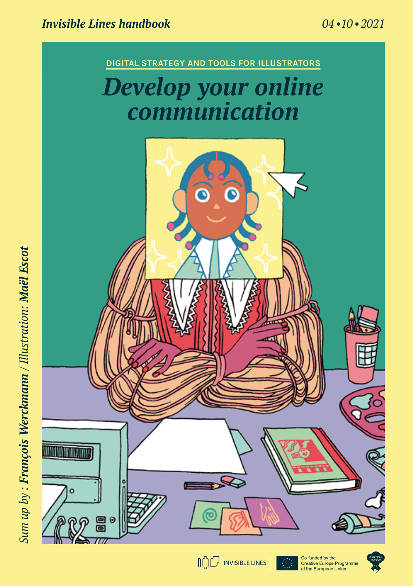





Co-funded by the<br>Creative Europe Programme<br>of the European Union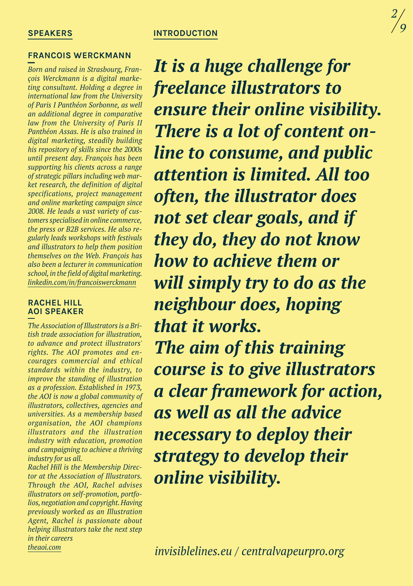#### **introduction**

#### **SPEAKERS**

#### **Francois Werckmann**

*Born and raised in Strasbourg, François Werckmann is a digital marketing consultant. Holding a degree in international law from the University of Paris I Panthéon Sorbonne, as well an additional degree in comparative law from the University of Paris II Panthéon Assas. He is also trained in digital marketing, steadily building his repository of skills since the 2000s until present day. François has been supporting his clients across a range of strategic pillars including web market research, the definition of digital specifications, project management and online marketing campaign since 2008. He leads a vast variety of customers specialised in online commerce, the press or B2B services. He also regularly leads workshops with festivals and illustrators to help them position themselves on the Web. François has also been a lecturer in communication school, in the field of digital marketing. linkedin.com/in/francoiswerckmann*

#### **rachel hill AOI speaker**

*The Association of Illustrators is a British trade association for illustration, to advance and protect illustrators' rights. The AOI promotes and encourages commercial and ethical standards within the industry, to improve the standing of illustration as a profession. Established in 1973, the AOI is now a global community of illustrators, collectives, agencies and universities. As a membership based organisation, the AOI champions illustrators and the illustration industry with education, promotion and campaigning to achieve a thriving industry for us all.* 

*Rachel Hill is the Membership Director at the Association of Illustrators. Through the AOI, Rachel advises illustrators on self-promotion, portfolios, negotiation and copyright. Having previously worked as an Illustration Agent, Rachel is passionate about helping illustrators take the next step in their careers theaoi.com*

*It is a huge challenge for freelance illustrators to ensure their online visibility. There is a lot of content online to consume, and public attention is limited. All too often, the illustrator does not set clear goals, and if they do, they do not know how to achieve them or will simply try to do as the neighbour does, hoping that it works. The aim of this training course is to give illustrators a clear framework for action, as well as all the advice necessary to deploy their strategy to develop their online visibility.*

*invisiblelines.eu / centralvapeurpro.org*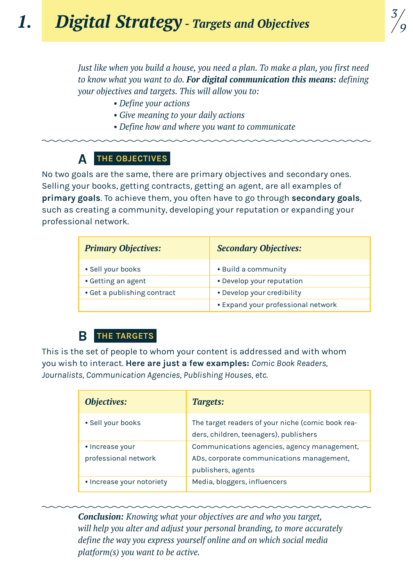*Just like when you build a house, you need a plan. To make a plan, you first need to know what you want to do. For digital communication this means: defining your objectives and targets. This will allow you to:* 

- *• Define your actions*
- *• Give meaning to your daily actions*
- *• Define how and where you want to communicate*

# **A** THE OBJECTIVE

No two goals are the same, there are primary objectives and secondary ones. Selling your books, getting contracts, getting an agent, are all examples of **primary goals**. To achieve them, you often have to go through **secondary goals**, such as creating a community, developing your reputation or expanding your professional network.

| <b>Primary Objectives:</b>  | <b>Secondary Objectives:</b>       |  |
|-----------------------------|------------------------------------|--|
| • Sell your books           | • Build a community                |  |
| • Getting an agent          | • Develop your reputation          |  |
| • Get a publishing contract | • Develop your credibility         |  |
|                             | • Expand your professional network |  |

#### **the targets b**

This is the set of people to whom your content is addressed and with whom you wish to interact. **Here are just a few examples:** *Comic Book Readers, Journalists, Communication Agencies, Publishing Houses, etc.*

| <b>Objectives:</b>                      | Targets:                                                                                                       |
|-----------------------------------------|----------------------------------------------------------------------------------------------------------------|
| • Sell your books                       | The target readers of your niche (comic book rea-<br>ders, children, teenagers), publishers                    |
| • Increase your<br>professional network | Communications agencies, agency management,<br>ADs, corporate communications management,<br>publishers, agents |
| • Increase your notoriety               | Media, bloggers, influencers                                                                                   |

*Conclusion: Knowing what your objectives are and who you target, will help you alter and adjust your personal branding, to more accurately define the way you express yourself online and on which social media platform(s) you want to be active.*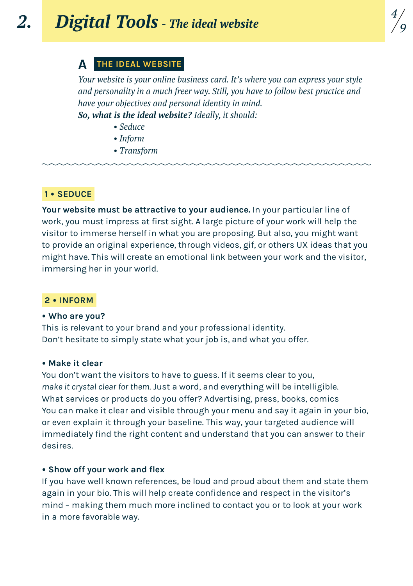### **A the ideal website**

*Your website is your online business card. It's where you can express your style and personality in a much freer way. Still, you have to follow best practice and have your objectives and personal identity in mind.* 

*So, what is the ideal website? Ideally, it should:* 

- *• Seduce*
- *• Inform*
- *• Transform*

#### **1 • Seduce**

**Your website must be attractive to your audience.** In your particular line of work, you must impress at first sight. A large picture of your work will help the visitor to immerse herself in what you are proposing. But also, you might want to provide an original experience, through videos, gif, or others UX ideas that you might have. This will create an emotional link between your work and the visitor, immersing her in your world.

#### **2 • inform**

#### **• Who are you?**

This is relevant to your brand and your professional identity. Don't hesitate to simply state what your job is, and what you offer.

#### **• Make it clear**

You don't want the visitors to have to guess. If it seems clear to you, *make it crystal clear for them*. Just a word, and everything will be intelligible. What services or products do you offer? Advertising, press, books, comics You can make it clear and visible through your menu and say it again in your bio, or even explain it through your baseline. This way, your targeted audience will immediately find the right content and understand that you can answer to their desires.

#### **• Show off your work and flex**

If you have well known references, be loud and proud about them and state them again in your bio. This will help create confidence and respect in the visitor's mind – making them much more inclined to contact you or to look at your work in a more favorable way.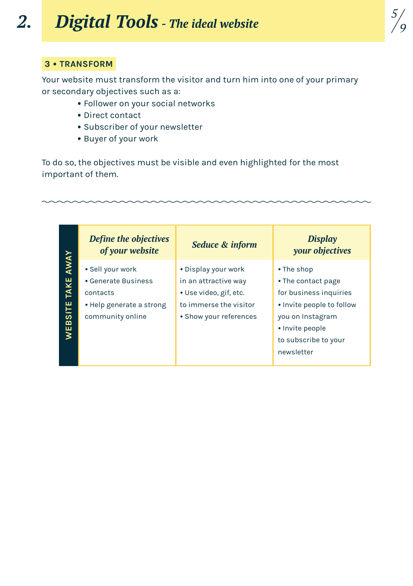#### **3 • transform**

Your website must transform the visitor and turn him into one of your primary or secondary objectives such as a:

*5 9*

- Follower on your social networks
- Direct contact
- Subscriber of your newsletter
- Buyer of your work

To do so, the objectives must be visible and even highlighted for the most important of them.

|                  | Define the objectives<br>of your website | Seduce & inform        | <b>Display</b><br>your objectives |
|------------------|------------------------------------------|------------------------|-----------------------------------|
| <b>TAKE AWAY</b> | • Sell your work                         | • Display your work    | • The shop                        |
|                  | • Generate Business                      | in an attractive way   | • The contact page                |
|                  | contacts                                 | • Use video, gif, etc. | for business inquiries            |
|                  | • Help generate a strong                 | to immerse the visitor | • Invite people to follow         |
| WEBSITE          | community online                         | • Show your references | you on Instagram                  |
|                  |                                          |                        | • Invite people                   |
|                  |                                          |                        | to subscribe to your              |
|                  |                                          |                        | newsletter                        |
|                  |                                          |                        |                                   |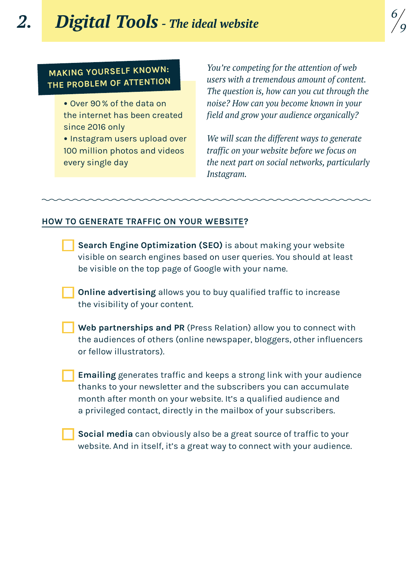### *2. Digital Tools - The ideal website*

## **Making yourself known: the problem of attention**

- Over 90% of the data on the internet has been created since 2016 only
- Instagram users upload over 100 million photos and videos every single day

*You're competing for the attention of web users with a tremendous amount of content. The question is, how can you cut through the noise? How can you become known in your field and grow your audience organically?*

*We will scan the different ways to generate traffic on your website before we focus on the next part on social networks, particularly Instagram.*

### **How to generate traffic on your website?**

- **Search Engine Optimization (SEO)** is about making your website visible on search engines based on user queries. You should at least be visible on the top page of Google with your name.
- **Online advertising** allows you to buy qualified traffic to increase the visibility of your content.
- **Web partnerships and PR** (Press Relation) allow you to connect with the audiences of others (online newspaper, bloggers, other influencers or fellow illustrators).
- **Emailing** generates traffic and keeps a strong link with your audience thanks to your newsletter and the subscribers you can accumulate month after month on your website. It's a qualified audience and a privileged contact, directly in the mailbox of your subscribers.
- **Social media** can obviously also be a great source of traffic to your website. And in itself, it's a great way to connect with your audience.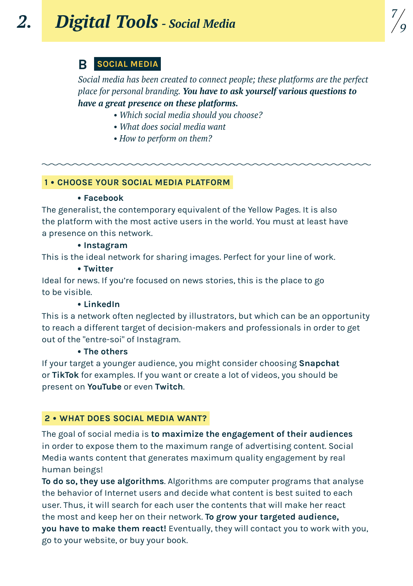## **B social media**

*Social media has been created to connect people; these platforms are the perfect place for personal branding. You have to ask yourself various questions to have a great presence on these platforms.* 

- *• Which social media should you choose?*
- *• What does social media want*
- *• How to perform on them?*

### **1 • Choose your Social Media Platform**

#### **• Facebook**

The generalist, the contemporary equivalent of the Yellow Pages. It is also the platform with the most active users in the world. You must at least have a presence on this network.

### **• Instagram**

This is the ideal network for sharing images. Perfect for your line of work.

#### **• Twitter**

Ideal for news. If you're focused on news stories, this is the place to go to be visible.

### **• LinkedIn**

This is a network often neglected by illustrators, but which can be an opportunity to reach a different target of decision-makers and professionals in order to get out of the "entre-soi" of Instagram.

### **• The others**

If your target a younger audience, you might consider choosing **Snapchat** or **TikTok** for examples. If you want or create a lot of videos, you should be present on **YouTube** or even **Twitch**.

### **2 • What does social media want?**

The goal of social media is **to maximize the engagement of their audiences** in order to expose them to the maximum range of advertising content. Social Media wants content that generates maximum quality engagement by real human beings!

**To do so, they use algorithms**. Algorithms are computer programs that analyse the behavior of Internet users and decide what content is best suited to each user. Thus, it will search for each user the contents that will make her react the most and keep her on their network. **To grow your targeted audience, you have to make them react!** Eventually, they will contact you to work with you, go to your website, or buy your book.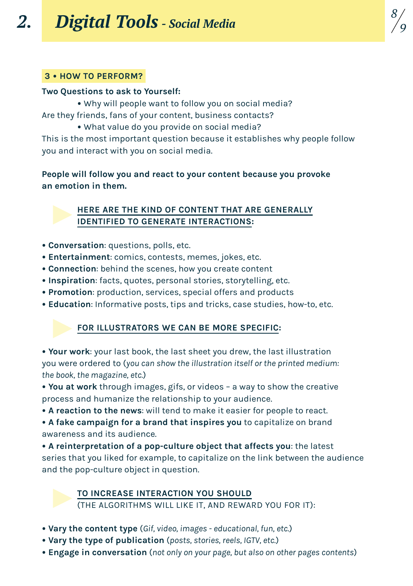### **3 • How to perform?**

#### **Two Questions to ask to Yourself:**

**•** Why will people want to follow you on social media? Are they friends, fans of your content, business contacts?

**•** What value do you provide on social media?

This is the most important question because it establishes why people follow you and interact with you on social media.

*8 9*

**People will follow you and react to your content because you provoke an emotion in them.**

### **Here are the kind of content that are generally identified to generate interactions:**

- **Conversation**: questions, polls, etc.
- **Entertainment**: comics, contests, memes, jokes, etc.
- **Connection**: behind the scenes, how you create content
- **Inspiration**: facts, quotes, personal stories, storytelling, etc.
- **Promotion**: production, services, special offers and products
- **• Education**: Informative posts, tips and tricks, case studies, how-to, etc.

### **For illustrators we can be more specific:**

**• Your work**: your last book, the last sheet you drew, the last illustration you were ordered to (*you can show the illustration itself or the printed medium: the book, the magazine, etc.*)

**• You at work** through images, gifs, or videos – a way to show the creative process and humanize the relationship to your audience.

**• A reaction to the news**: will tend to make it easier for people to react.

**• A fake campaign for a brand that inspires you** to capitalize on brand awareness and its audience.

**• A reinterpretation of a pop-culture object that affects you**: the latest series that you liked for example, to capitalize on the link between the audience and the pop-culture object in question.

**To increase interaction you should**

(the algorithms will like it, and reward you for it):

- **Vary the content type** (*Gif, video, images educational, fun, etc.*)
- **Vary the type of publication** (*posts, stories, reels, IGTV, etc.*)
- **Engage in conversation** (*not only on your page, but also on other pages contents*)